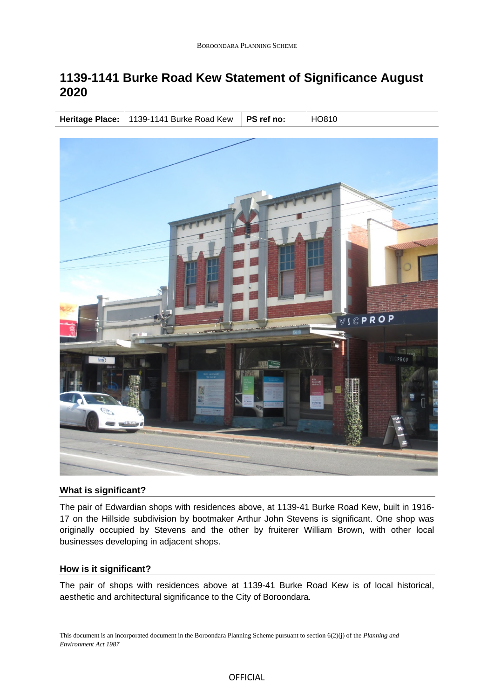# **1139-1141 Burke Road Kew Statement of Significance August 2020**

**Heritage Place:** 1139-1141 Burke Road Kew | PS ref no: HO810



### **What is significant?**

The pair of Edwardian shops with residences above, at 1139-41 Burke Road Kew, built in 1916- 17 on the Hillside subdivision by bootmaker Arthur John Stevens is significant. One shop was originally occupied by Stevens and the other by fruiterer William Brown, with other local businesses developing in adjacent shops.

## **How is it significant?**

The pair of shops with residences above at 1139-41 Burke Road Kew is of local historical, aesthetic and architectural significance to the City of Boroondara.

This document is an incorporated document in the Boroondara Planning Scheme pursuant to section 6(2)(j) of the *Planning and Environment Act 1987*